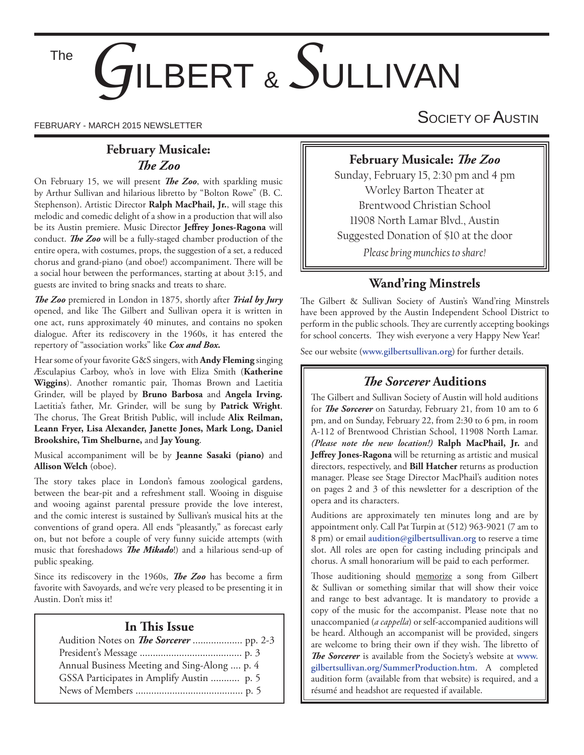The

# *G*ILBERT & *S*ULLIVAN

## **February Musicale:**  *Th e Zoo*

On February 15, we will present *The Zoo*, with sparkling music by Arthur Sullivan and hilarious libretto by "Bolton Rowe" (B. C. Stephenson). Artistic Director **Ralph MacPhail, Jr.**, will stage this melodic and comedic delight of a show in a production that will also be its Austin premiere. Music Director Jeffrey Jones-Ragona will conduct. **The Zoo** will be a fully-staged chamber production of the entire opera, with costumes, props, the suggestion of a set, a reduced chorus and grand-piano (and oboe!) accompaniment. There will be a social hour between the performances, starting at about 3:15, and guests are invited to bring snacks and treats to share.

The Zoo premiered in London in 1875, shortly after *Trial by Jury* opened, and like The Gilbert and Sullivan opera it is written in one act, runs approximately 40 minutes, and contains no spoken dialogue. After its rediscovery in the 1960s, it has entered the repertory of "association works" like *Cox and Box.*

Hear some of your favorite G&S singers, with **Andy Fleming** singing Æsculapius Carboy, who's in love with Eliza Smith (**Katherine**  Wiggins). Another romantic pair, Thomas Brown and Laetitia Grinder, will be played by **Bruno Barbosa** and **Angela Irving.**  Laetitia's father, Mr. Grinder, will be sung by **Patrick Wright**. The chorus, The Great British Public, will include Alix Reilman, **Leann Fryer, Lisa Alexander, Janette Jones, Mark Long, Daniel Brookshire, Tim Shelburne,** and **Jay Young**.

Musical accompaniment will be by **Jeanne Sasaki (piano)** and **Allison Welch** (oboe).

The story takes place in London's famous zoological gardens, between the bear-pit and a refreshment stall. Wooing in disguise and wooing against parental pressure provide the love interest, and the comic interest is sustained by Sullivan's musical hits at the conventions of grand opera. All ends "pleasantly," as forecast early on, but not before a couple of very funny suicide attempts (with music that foreshadows *The Mikado*!) and a hilarious send-up of public speaking.

Since its rediscovery in the 1960s, *The Zoo* has become a firm favorite with Savoyards, and we're very pleased to be presenting it in Austin. Don't miss it!

## **In This Issue**

| Annual Business Meeting and Sing-Along  p. 4 |  |
|----------------------------------------------|--|
| GSSA Participates in Amplify Austin  p. 5    |  |
|                                              |  |

FEBRUARY - MARCH 2015 NEWSLETTER SOCIETY OF AUSTIN

## **February Musicale: The Zoo**

Sunday, February 15, 2:30 pm and 4 pm Worley Barton Theater at Brentwood Christian School 11908 North Lamar Blvd., Austin Suggested Donation of \$10 at the door *Please bring munchies to share!*

# **Wand'ring Minstrels**

The Gilbert & Sullivan Society of Austin's Wand'ring Minstrels have been approved by the Austin Independent School District to perform in the public schools. They are currently accepting bookings for school concerts. They wish everyone a very Happy New Year!

See our website (**www.gilbertsullivan.org**) for further details.

## **The Sorcerer Auditions**

The Gilbert and Sullivan Society of Austin will hold auditions for *The Sorcerer* on Saturday, February 21, from 10 am to 6 pm, and on Sunday, February 22, from 2:30 to 6 pm, in room A-112 of Brentwood Christian School, 11908 North Lamar. *(Please note the new location!)* **Ralph MacPhail, Jr.** and Jeffrey Jones-Ragona will be returning as artistic and musical directors, respectively, and **Bill Hatcher** returns as production manager. Please see Stage Director MacPhail's audition notes on pages 2 and 3 of this newsletter for a description of the opera and its characters.

Auditions are approximately ten minutes long and are by appointment only. Call Pat Turpin at (512) 963-9021 (7 am to 8 pm) or email **audition@gilbertsullivan.org** to reserve a time slot. All roles are open for casting including principals and chorus. A small honorarium will be paid to each performer.

Those auditioning should memorize a song from Gilbert & Sullivan or something similar that will show their voice and range to best advantage. It is mandatory to provide a copy of the music for the accompanist. Please note that no unaccompanied (*a cappella*) or self-accompanied auditions will be heard. Although an accompanist will be provided, singers are welcome to bring their own if they wish. The libretto of The Sorcerer is available from the Society's website at www. **gilbertsullivan.org/SummerProduction.htm**. A completed audition form (available from that website) is required, and a résumé and headshot are requested if available.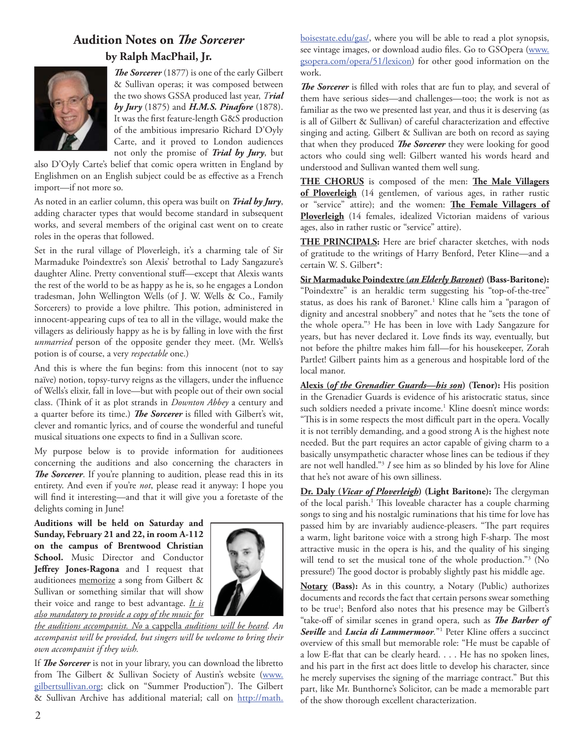# **Audition Notes on** *The Sorcerer* **by Ralph MacPhail, Jr.**



**The Sorcerer** (1877) is one of the early Gilbert & Sullivan operas; it was composed between the two shows GSSA produced last year, *Trial by Jury* (1875) and *H.M.S. Pinafore* (1878). It was the first feature-length G&S production of the ambitious impresario Richard D'Oyly Carte, and it proved to London audiences not only the promise of *Trial by Jury*, but

also D'Oyly Carte's belief that comic opera written in England by Englishmen on an English subject could be as effective as a French import—if not more so.

As noted in an earlier column, this opera was built on *Trial by Jury*, adding character types that would become standard in subsequent works, and several members of the original cast went on to create roles in the operas that followed.

Set in the rural village of Ploverleigh, it's a charming tale of Sir Marmaduke Poindextre's son Alexis' betrothal to Lady Sangazure's daughter Aline. Pretty conventional stuff-except that Alexis wants the rest of the world to be as happy as he is, so he engages a London tradesman, John Wellington Wells (of J. W. Wells & Co., Family Sorcerers) to provide a love philtre. This potion, administered in innocent-appearing cups of tea to all in the village, would make the villagers as deliriously happy as he is by falling in love with the first *unmarried* person of the opposite gender they meet. (Mr. Wells's potion is of course, a very *respectable* one.)

And this is where the fun begins: from this innocent (not to say naïve) notion, topsy-turvy reigns as the villagers, under the influence of Wells's elixir, fall in love—but with people out of their own social class. (Think of it as plot strands in *Downton Abbey* a century and a quarter before its time.) *The Sorcerer* is filled with Gilbert's wit, clever and romantic lyrics, and of course the wonderful and tuneful musical situations one expects to find in a Sullivan score.

My purpose below is to provide information for auditionees concerning the auditions and also concerning the characters in **The Sorcerer**. If you're planning to audition, please read this in its entirety. And even if you're *not*, please read it anyway: I hope you will find it interesting—and that it will give you a foretaste of the delights coming in June!

**Auditions will be held on Saturday and Sunday, February 21 and 22, in room A-112 on the campus of Brentwood Christian School.** Music Director and Conductor Jeffrey Jones-Ragona and I request that auditionees memorize a song from Gilbert & Sullivan or something similar that will show their voice and range to best advantage. *It is also mandatory to provide a copy of the music for* 



*the auditions accompanist. No* a cappella *auditions will be heard. An accompanist will be provided, but singers will be welcome to bring their own accompanist if they wish.*

If *The Sorcerer* is not in your library, you can download the libretto from The Gilbert & Sullivan Society of Austin's website (www. gilbertsullivan.org; click on "Summer Production"). The Gilbert & Sullivan Archive has additional material; call on http://math.

boisestate.edu/gas/, where you will be able to read a plot synopsis, see vintage images, or download audio files. Go to GSOpera (www. gsopera.com/opera/51/lexicon) for other good information on the work.

The Sorcerer is filled with roles that are fun to play, and several of them have serious sides—and challenges—too; the work is not as familiar as the two we presented last year, and thus it is deserving (as is all of Gilbert & Sullivan) of careful characterization and effective singing and acting. Gilbert & Sullivan are both on record as saying that when they produced *The Sorcerer* they were looking for good actors who could sing well: Gilbert wanted his words heard and understood and Sullivan wanted them well sung.

THE CHORUS is composed of the men: The Male Villagers **of Ploverleigh** (14 gentlemen, of various ages, in rather rustic or "service" attire); and the women: **The Female Villagers of Ploverleigh** (14 females, idealized Victorian maidens of various ages, also in rather rustic or "service" attire).

**THE PRINCIPALS:** Here are brief character sketches, with nods of gratitude to the writings of Harry Benford, Peter Kline—and a certain W. S. Gilbert\*:

**Sir Marmaduke Poindextre (***an Elderly Baronet***) (Bass-Baritone):**  "Poindextre" is an heraldic term suggesting his "top-of-the-tree" status, as does his rank of Baronet.<sup>1</sup> Kline calls him a "paragon of dignity and ancestral snobbery" and notes that he "sets the tone of the whole opera."3 He has been in love with Lady Sangazure for years, but has never declared it. Love finds its way, eventually, but not before the philtre makes him fall—for his housekeeper, Zorah Partlet! Gilbert paints him as a generous and hospitable lord of the local manor.

**Alexis (***of the Grenadier Guards—his son***) (Tenor):** His position in the Grenadier Guards is evidence of his aristocratic status, since such soldiers needed a private income.<sup>1</sup> Kline doesn't mince words: "This is in some respects the most difficult part in the opera. Vocally it is not terribly demanding, and a good strong A is the highest note needed. But the part requires an actor capable of giving charm to a basically unsympathetic character whose lines can be tedious if they are not well handled."3 *I* see him as so blinded by his love for Aline that he's not aware of his own silliness.

**Dr. Daly (***Vicar of Ploverleigh***) (Light Baritone):** The clergyman of the local parish.<sup>1</sup> This loveable character has a couple charming songs to sing and his nostalgic ruminations that his time for love has passed him by are invariably audience-pleasers. "The part requires a warm, light baritone voice with a strong high F-sharp. The most attractive music in the opera is his, and the quality of his singing will tend to set the musical tone of the whole production."3 (No pressure!) The good doctor is probably slightly past his middle age.

**Notary (Bass):** As in this country, a Notary (Public) authorizes documents and records the fact that certain persons swear something to be true<sup>1</sup>; Benford also notes that his presence may be Gilbert's "take-off of similar scenes in grand opera, such as *The Barber of* Seville and Lucia di Lammermoor."<sup>1</sup> Peter Kline offers a succinct overview of this small but memorable role: "He must be capable of a low E-flat that can be clearly heard. . . . He has no spoken lines, and his part in the first act does little to develop his character, since he merely supervises the signing of the marriage contract." But this part, like Mr. Bunthorne's Solicitor, can be made a memorable part of the show thorough excellent characterization.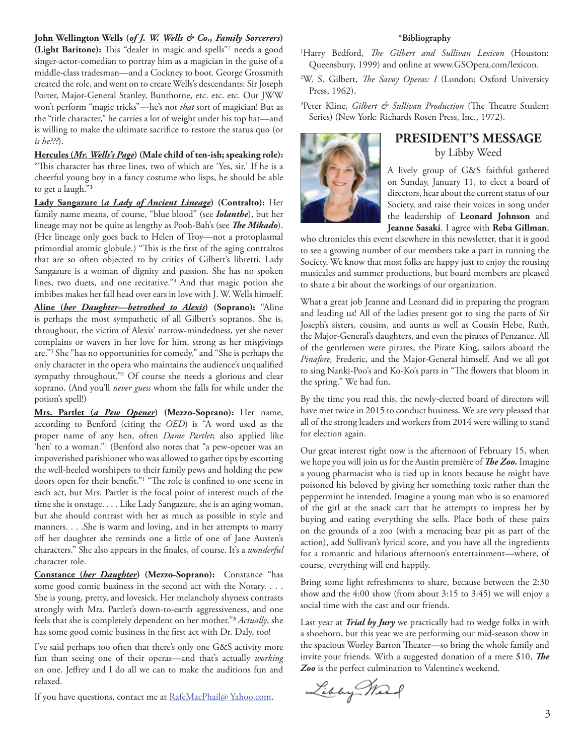#### **John Wellington Wells (***of J. W. Wells & Co., Family Sorcerers***)**

(Light Baritone): This "dealer in magic and spells"<sup>2</sup> needs a good singer-actor-comedian to portray him as a magician in the guise of a middle-class tradesman—and a Cockney to boot. George Grossmith created the role, and went on to create Wells's descendants: Sir Joseph Porter, Major-General Stanley, Bunthorne, etc. etc. etc. Our JWW won't perform "magic tricks"—he's not *that* sort of magician! But as the "title character," he carries a lot of weight under his top hat—and is willing to make the ultimate sacrifice to restore the status quo (or *is he???*).

**Hercules (***Mr. Wells's Page***) (Male child of ten-ish; speaking role):**  "This character has three lines, two of which are 'Yes, sir.' If he is a cheerful young boy in a fancy costume who lisps, he should be able to get a laugh."**<sup>3</sup>**

**Lady Sangazure (***a Lady of Ancient Lineage***) (Contralto):** Her family name means, of course, "blue blood" (see *Iolanthe*), but her lineage may not be quite as lengthy as Pooh-Bah's (see *The Mikado*). (Her lineage only goes back to Helen of Troy—not a protoplasmal primordial atomic globule.) "This is the first of the aging contraltos that are so often objected to by critics of Gilbert's libretti. Lady Sangazure is a woman of dignity and passion. She has no spoken lines, two duets, and one recitative."3 And that magic potion she imbibes makes her fall head over ears in love with J. W. Wells himself.

**Aline (***her Daughter—betrothed to Alexis***) (Soprano):** "Aline is perhaps the most sympathetic of all Gilbert's sopranos. She is, throughout, the victim of Alexis' narrow-mindedness, yet she never complains or wavers in her love for him, strong as her misgivings are."3 She "has no opportunities for comedy," and "She is perhaps the only character in the opera who maintains the audience's unqualified sympathy throughout."<sup>3</sup> Of course she needs a glorious and clear soprano. (And you'll *never guess* whom she falls for while under the potion's spell!)

**Mrs. Partlet (***a Pew Opener***) (Mezzo-Soprano):** Her name, according to Benford (citing the *OED*) is "A word used as the proper name of any hen, often *Dame Partlet*; also applied like 'hen' to a woman."<sup>1</sup> (Benford also notes that "a pew-opener was an impoverished parishioner who was allowed to gather tips by escorting the well-heeled worshipers to their family pews and holding the pew doors open for their benefit."<sup>1</sup> "The role is confined to one scene in each act, but Mrs. Partlet is the focal point of interest much of the time she is onstage. . . . Like Lady Sangazure, she is an aging woman, but she should contrast with her as much as possible in style and manners. . . .She is warm and loving, and in her attempts to marry off her daughter she reminds one a little of one of Jane Austen's characters." She also appears in the finales, of course. It's a *wonderful* character role.

**Constance (***her Daughter***) (Mezzo-Soprano):** Constance "has some good comic business in the second act with the Notary. . . . She is young, pretty, and lovesick. Her melancholy shyness contrasts strongly with Mrs. Partlet's down-to-earth aggressiveness, and one feels that she is completely dependent on her mother."**<sup>3</sup>** *Actually*, she has some good comic business in the first act with Dr. Daly, too!

I've said perhaps too often that there's only one G&S activity more fun than seeing one of their operas—and that's actually *working*  on one. Jeffrey and I do all we can to make the auditions fun and relaxed.

If you have questions, contact me at RafeMacPhail@ Yahoo.com.

#### **\*Bibliography**

- <sup>1</sup>Harry Bedford, *The Gilbert and Sullivan Lexicon* (Houston: Queensbury, 1999) and online at www.GSOpera.com/lexicon.
- <sup>2</sup>W. S. Gilbert, *The Savoy Operas: I* (London: Oxford University Press, 1962).

<sup>3</sup>Peter Kline, *Gilbert & Sullivan Production* (The Theatre Student Series) (New York: Richards Rosen Press, Inc., 1972).



### **PRESIDENT'S MESSAGE** by Libby Weed

A lively group of G&S faithful gathered on Sunday, January 11, to elect a board of directors, hear about the current status of our Society, and raise their voices in song under the leadership of **Leonard Johnson** and **Jeanne Sasaki**. I agree with **Reba Gillman**,

who chronicles this event elsewhere in this newsletter, that it is good to see a growing number of our members take a part in running the Society. We know that most folks are happy just to enjoy the rousing musicales and summer productions, but board members are pleased to share a bit about the workings of our organization.

What a great job Jeanne and Leonard did in preparing the program and leading us! All of the ladies present got to sing the parts of Sir Joseph's sisters, cousins, and aunts as well as Cousin Hebe, Ruth, the Major-General's daughters, and even the pirates of Penzance. All of the gentlemen were pirates, the Pirate King, sailors aboard the *Pinafore,* Frederic, and the Major-General himself. And we all got to sing Nanki-Poo's and Ko-Ko's parts in "The flowers that bloom in the spring." We had fun.

By the time you read this, the newly-elected board of directors will have met twice in 2015 to conduct business. We are very pleased that all of the strong leaders and workers from 2014 were willing to stand for election again.

Our great interest right now is the afternoon of February 15, when we hope you will join us for the Austin première of **The Zoo.** Imagine a young pharmacist who is tied up in knots because he might have poisoned his beloved by giving her something toxic rather than the peppermint he intended. Imagine a young man who is so enamored of the girl at the snack cart that he attempts to impress her by buying and eating everything she sells. Place both of these pairs on the grounds of a zoo (with a menacing bear pit as part of the action), add Sullivan's lyrical score, and you have all the ingredients for a romantic and hilarious afternoon's entertainment—where, of course, everything will end happily.

Bring some light refreshments to share, because between the 2:30 show and the 4:00 show (from about 3:15 to 3:45) we will enjoy a social time with the cast and our friends.

Last year at *Trial by Jury* we practically had to wedge folks in with a shoehorn, but this year we are performing our mid-season show in the spacious Worley Barton Theater-so bring the whole family and invite your friends. With a suggested donation of a mere \$10, **The** *Zoo* is the perfect culmination to Valentine's weekend.

Libby Mark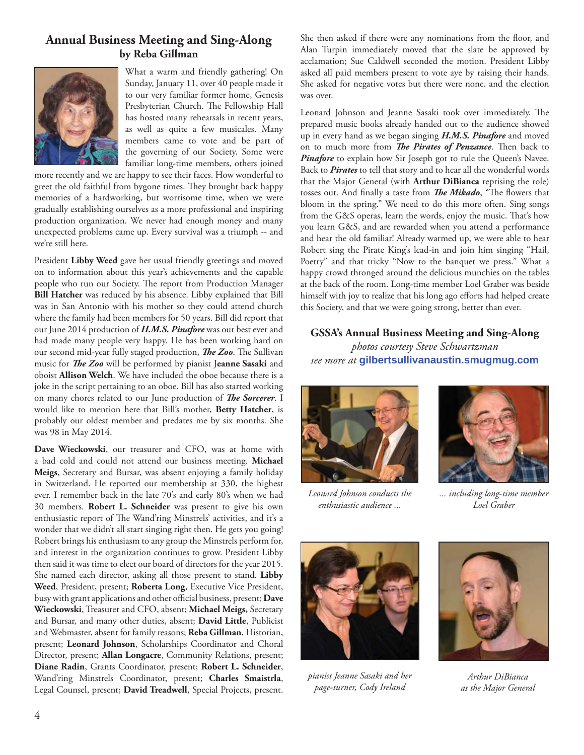## **Annual Business Meeting and Sing-Along by Reba Gillman**



What a warm and friendly gathering! On Sunday, January 11, over 40 people made it to our very familiar former home, Genesis Presbyterian Church. The Fellowship Hall has hosted many rehearsals in recent years, as well as quite a few musicales. Many members came to vote and be part of the governing of our Society. Some were familiar long-time members, others joined

more recently and we are happy to see their faces. How wonderful to greet the old faithful from bygone times. They brought back happy memories of a hardworking, but worrisome time, when we were gradually establishing ourselves as a more professional and inspiring production organization. We never had enough money and many unexpected problems came up. Every survival was a triumph -- and we're still here.

President **Libby Weed** gave her usual friendly greetings and moved on to information about this year's achievements and the capable people who run our Society. The report from Production Manager **Bill Hatcher** was reduced by his absence. Libby explained that Bill was in San Antonio with his mother so they could attend church where the family had been members for 50 years. Bill did report that our June 2014 production of *H.M.S. Pinafore* was our best ever and had made many people very happy. He has been working hard on our second mid-year fully staged production, *The Zoo*. The Sullivan music for *The Zoo* will be performed by pianist Jeanne Sasaki and oboist **Allison Welch**. We have included the oboe because there is a joke in the script pertaining to an oboe. Bill has also started working on many chores related to our June production of *The Sorcerer*. I would like to mention here that Bill's mother, **Betty Hatcher**, is probably our oldest member and predates me by six months. She was 98 in May 2014.

**Dave Wieckowski**, our treasurer and CFO, was at home with a bad cold and could not attend our business meeting. **Michael Meigs**, Secretary and Bursar, was absent enjoying a family holiday in Switzerland. He reported our membership at 330, the highest ever. I remember back in the late 70's and early 80's when we had 30 members. **Robert L. Schneider** was present to give his own enthusiastic report of The Wand'ring Minstrels' activities, and it's a wonder that we didn't all start singing right then. He gets you going! Robert brings his enthusiasm to any group the Minstrels perform for, and interest in the organization continues to grow. President Libby then said it was time to elect our board of directors for the year 2015. She named each director, asking all those present to stand. **Libby Weed**, President, present; **Roberta Long**, Executive Vice President, busy with grant applications and other official business, present; Dave **Wieckowski**, Treasurer and CFO, absent; **Michael Meigs,** Secretary and Bursar, and many other duties, absent; **David Little**, Publicist and Webmaster, absent for family reasons; **Reba Gillman**, Historian, present; **Leonard Johnson**, Scholarships Coordinator and Choral Director, present; **Allan Longacre**, Community Relations, present; **Diane Radin**, Grants Coordinator, present; **Robert L. Schneider**, Wand'ring Minstrels Coordinator, present; **Charles Smaistrla**, Legal Counsel, present; **David Treadwell**, Special Projects, present.

She then asked if there were any nominations from the floor, and Alan Turpin immediately moved that the slate be approved by acclamation; Sue Caldwell seconded the motion. President Libby asked all paid members present to vote aye by raising their hands. She asked for negative votes but there were none. and the election was over.

Leonard Johnson and Jeanne Sasaki took over immediately. The prepared music books already handed out to the audience showed up in every hand as we began singing *H.M.S. Pinafore* and moved on to much more from *The Pirates of Penzance*. Then back to Pinafore to explain how Sir Joseph got to rule the Queen's Navee. Back to *Pirates* to tell that story and to hear all the wonderful words that the Major General (with **Arthur DiBianca** reprising the role) tosses out. And finally a taste from *The Mikado*, "The flowers that bloom in the spring." We need to do this more often. Sing songs from the G&S operas, learn the words, enjoy the music. That's how you learn G&S, and are rewarded when you attend a performance and hear the old familiar! Already warmed up, we were able to hear Robert sing the Pirate King's lead-in and join him singing "Hail, Poetry" and that tricky "Now to the banquet we press." What a happy crowd thronged around the delicious munchies on the tables at the back of the room. Long-time member Loel Graber was beside himself with joy to realize that his long ago efforts had helped create this Society, and that we were going strong, better than ever.

#### **GSSA's Annual Business Meeting and Sing-Along**

*photos courtesy Steve Schwartzman see more at* **gilbertsullivanaustin.smugmug.com**



*Leonard Johnson conducts the enthusiastic audience ...*



*... including long-time member Loel Graber*



*pianist Jeanne Sasaki and her page-turner, Cody Ireland*



*Arthur DiBianca as the Major General*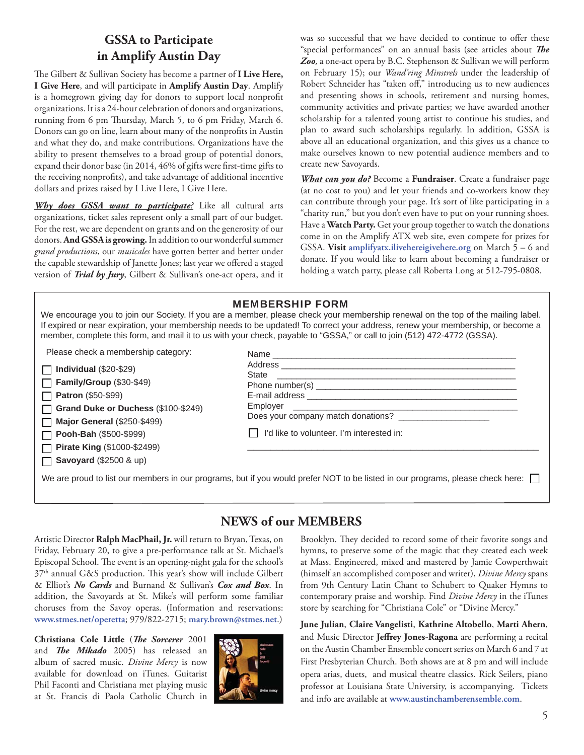## **GSSA to Participate in Amplify Austin Day**

The Gilbert & Sullivan Society has become a partner of I Live Here, **I Give Here**, and will participate in **Amplify Austin Day**. Amplify is a homegrown giving day for donors to support local nonprofit organizations. It is a 24-hour celebration of donors and organizations, running from 6 pm Thursday, March 5, to 6 pm Friday, March 6. Donors can go on line, learn about many of the nonprofits in Austin and what they do, and make contributions. Organizations have the ability to present themselves to a broad group of potential donors, expand their donor base (in 2014, 46% of gifts were first-time gifts to the receiving nonprofits), and take advantage of additional incentive dollars and prizes raised by I Live Here, I Give Here.

*Why does GSSA want to participate?* Like all cultural arts organizations, ticket sales represent only a small part of our budget. For the rest, we are dependent on grants and on the generosity of our donors. **And GSSA is growing.** In addition to our wonderful summer *grand productions*, our *musicales* have gotten better and better under the capable stewardship of Janette Jones; last year we offered a staged version of *Trial by Jury*, Gilbert & Sullivan's one-act opera, and it was so successful that we have decided to continue to offer these "special performances" on an annual basis (see articles about *The Zoo,* a one-act opera by B.C. Stephenson & Sullivan we will perform on February 15); our *Wand'ring Minstrels* under the leadership of Robert Schneider has "taken off," introducing us to new audiences and presenting shows in schools, retirement and nursing homes, community activities and private parties; we have awarded another scholarship for a talented young artist to continue his studies, and plan to award such scholarships regularly. In addition, GSSA is above all an educational organization, and this gives us a chance to make ourselves known to new potential audience members and to create new Savoyards.

*What can you do?* Become a **Fundraiser**. Create a fundraiser page (at no cost to you) and let your friends and co-workers know they can contribute through your page. It's sort of like participating in a "charity run," but you don't even have to put on your running shoes. Have a **Watch Party.** Get your group together to watch the donations come in on the Amplify ATX web site, even compete for prizes for GSSA. **Visit amplifyatx.ilivehereigivehere.org** on March 5 – 6 and donate. If you would like to learn about becoming a fundraiser or holding a watch party, please call Roberta Long at 512-795-0808.

#### MEMBERSHIP FORM

We encourage you to join our Society. If you are a member, please check your membership renewal on the top of the mailing label. If expired or near expiration, your membership needs to be updated! To correct your address, renew your membership, or become a member, complete this form, and mail it to us with your check, payable to "GSSA," or call to join (512) 472-4772 (GSSA).

Please check a membership category:

| $\Box$ Individual (\$20-\$29) |
|-------------------------------|
| Family/Group (\$30-\$49)      |
| Patron (\$50-\$99)            |

**Grand Duke or Duchess** (\$100-\$249)

**Major General** (\$250-\$499)

**Pooh-Bah** (\$500-\$999) П

**Pirate King** (\$1000-\$2499) **Savoyard** (\$2500 & up)

| Does your company match donations? ______________________ |  |
|-----------------------------------------------------------|--|
| $\mathsf{I}$   I'd like to volunteer. I'm interested in:  |  |
|                                                           |  |

We are proud to list our members in our programs, but if you would prefer NOT to be listed in our programs, please check here:

# **NEWS of our MEMBERS**

Artistic Director **Ralph MacPhail, Jr.** will return to Bryan, Texas, on Friday, February 20, to give a pre-performance talk at St. Michael's Episcopal School. The event is an opening-night gala for the school's  $37<sup>th</sup>$  annual G&S production. This year's show will include Gilbert & Elliot's *No Cards* and Burnand & Sullivan's *Cox and Box*. In addition, the Savoyards at St. Mike's will perform some familiar choruses from the Savoy operas. (Information and reservations: **www.stmes.net/operetta**; 979/822-2715; **mary.brown@stmes.net**.)

**Christiana Cole Little** (*The Sorcerer* 2001 and *The Mikado* 2005) has released an album of sacred music. *Divine Mercy* is now available for download on iTunes. Guitarist Phil Faconti and Christiana met playing music at St. Francis di Paola Catholic Church in



Brooklyn. They decided to record some of their favorite songs and hymns, to preserve some of the magic that they created each week at Mass. Engineered, mixed and mastered by Jamie Cowperthwait (himself an accomplished composer and writer), *Divine Mercy* spans from 9th Century Latin Chant to Schubert to Quaker Hymns to contemporary praise and worship. Find *Divine Mercy* in the iTunes store by searching for "Christiana Cole" or "Divine Mercy."

**June Julian**, **Claire Vangelisti**, **Kathrine Altobello**, **Marti Ahern**, and Music Director Jeffrey Jones-Ragona are performing a recital on the Austin Chamber Ensemble concert series on March 6 and 7 at First Presbyterian Church. Both shows are at 8 pm and will include opera arias, duets, and musical theatre classics. Rick Seilers, piano professor at Louisiana State University, is accompanying. Tickets and info are available at **www.austinchamberensemble.com**.